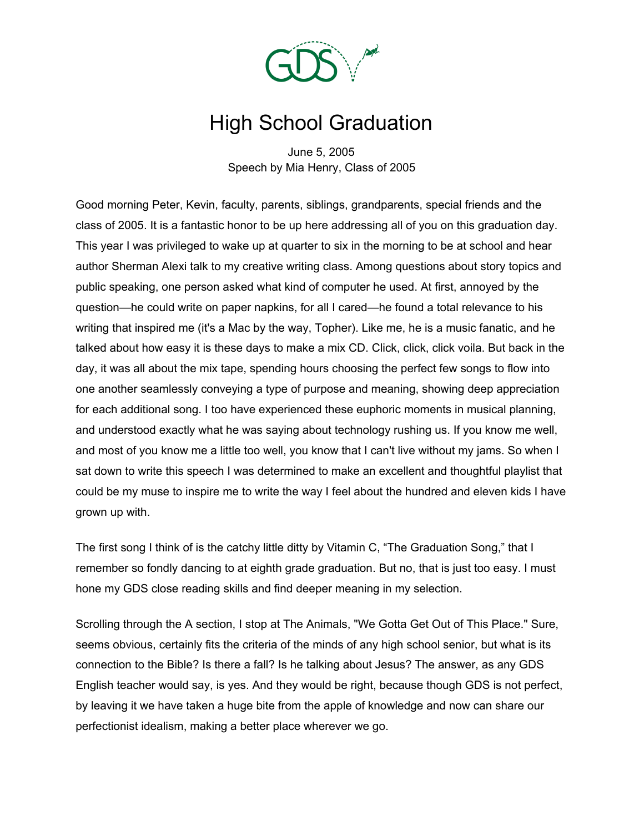

## High School Graduation

June 5, 2005 Speech by Mia Henry, Class of 2005

Good morning Peter, Kevin, faculty, parents, siblings, grandparents, special friends and the class of 2005. It is a fantastic honor to be up here addressing all of you on this graduation day. This year I was privileged to wake up at quarter to six in the morning to be at school and hear author Sherman Alexi talk to my creative writing class. Among questions about story topics and public speaking, one person asked what kind of computer he used. At first, annoyed by the question—he could write on paper napkins, for all I cared—he found a total relevance to his writing that inspired me (it's a Mac by the way, Topher). Like me, he is a music fanatic, and he talked about how easy it is these days to make a mix CD. Click, click, click voila. But back in the day, it was all about the mix tape, spending hours choosing the perfect few songs to flow into one another seamlessly conveying a type of purpose and meaning, showing deep appreciation for each additional song. I too have experienced these euphoric moments in musical planning, and understood exactly what he was saying about technology rushing us. If you know me well, and most of you know me a little too well, you know that I can't live without my jams. So when I sat down to write this speech I was determined to make an excellent and thoughtful playlist that could be my muse to inspire me to write the way I feel about the hundred and eleven kids I have grown up with.

The first song I think of is the catchy little ditty by Vitamin C, "The Graduation Song," that I remember so fondly dancing to at eighth grade graduation. But no, that is just too easy. I must hone my GDS close reading skills and find deeper meaning in my selection.

Scrolling through the A section, I stop at The Animals, "We Gotta Get Out of This Place." Sure, seems obvious, certainly fits the criteria of the minds of any high school senior, but what is its connection to the Bible? Is there a fall? Is he talking about Jesus? The answer, as any GDS English teacher would say, is yes. And they would be right, because though GDS is not perfect, by leaving it we have taken a huge bite from the apple of knowledge and now can share our perfectionist idealism, making a better place wherever we go.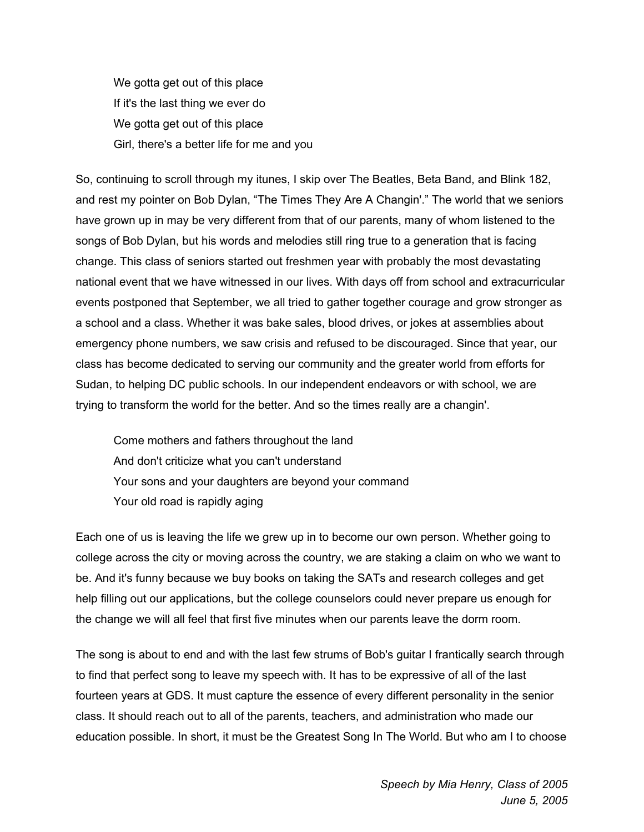We gotta get out of this place If it's the last thing we ever do We gotta get out of this place Girl, there's a better life for me and you

So, continuing to scroll through my itunes, I skip over The Beatles, Beta Band, and Blink 182, and rest my pointer on Bob Dylan, "The Times They Are A Changin'." The world that we seniors have grown up in may be very different from that of our parents, many of whom listened to the songs of Bob Dylan, but his words and melodies still ring true to a generation that is facing change. This class of seniors started out freshmen year with probably the most devastating national event that we have witnessed in our lives. With days off from school and extracurricular events postponed that September, we all tried to gather together courage and grow stronger as a school and a class. Whether it was bake sales, blood drives, or jokes at assemblies about emergency phone numbers, we saw crisis and refused to be discouraged. Since that year, our class has become dedicated to serving our community and the greater world from efforts for Sudan, to helping DC public schools. In our independent endeavors or with school, we are trying to transform the world for the better. And so the times really are a changin'.

Come mothers and fathers throughout the land And don't criticize what you can't understand Your sons and your daughters are beyond your command Your old road is rapidly aging

Each one of us is leaving the life we grew up in to become our own person. Whether going to college across the city or moving across the country, we are staking a claim on who we want to be. And it's funny because we buy books on taking the SATs and research colleges and get help filling out our applications, but the college counselors could never prepare us enough for the change we will all feel that first five minutes when our parents leave the dorm room.

The song is about to end and with the last few strums of Bob's guitar I frantically search through to find that perfect song to leave my speech with. It has to be expressive of all of the last fourteen years at GDS. It must capture the essence of every different personality in the senior class. It should reach out to all of the parents, teachers, and administration who made our education possible. In short, it must be the Greatest Song In The World. But who am I to choose